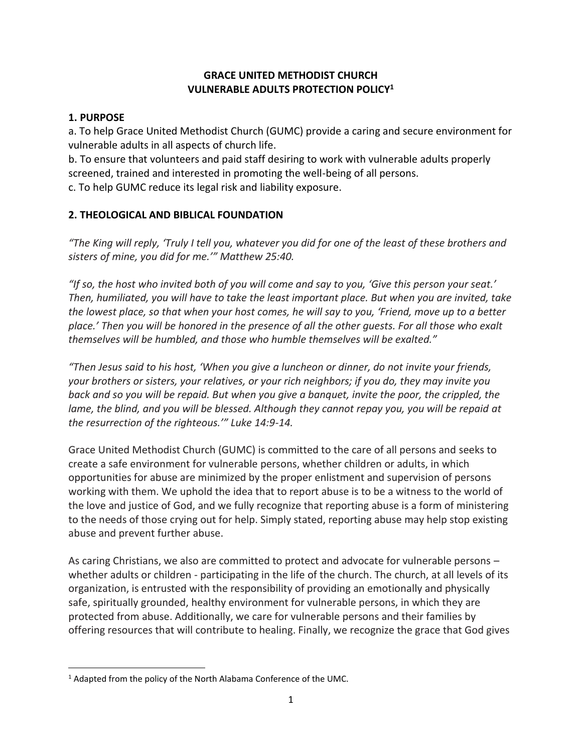## **GRACE UNITED METHODIST CHURCH VULNERABLE ADULTS PROTECTION POLICY<sup>1</sup>**

## **1. PURPOSE**

a. To help Grace United Methodist Church (GUMC) provide a caring and secure environment for vulnerable adults in all aspects of church life.

b. To ensure that volunteers and paid staff desiring to work with vulnerable adults properly screened, trained and interested in promoting the well-being of all persons.

c. To help GUMC reduce its legal risk and liability exposure.

# **2. THEOLOGICAL AND BIBLICAL FOUNDATION**

*"The King will reply, 'Truly I tell you, whatever you did for one of the least of these brothers and sisters of mine, you did for me.'" Matthew 25:40.*

*"If so, the host who invited both of you will come and say to you, 'Give this person your seat.' Then, humiliated, you will have to take the least important place. But when you are invited, take the lowest place, so that when your host comes, he will say to you, 'Friend, move up to a better place.' Then you will be honored in the presence of all the other guests. For all those who exalt themselves will be humbled, and those who humble themselves will be exalted."*

*"Then Jesus said to his host, 'When you give a luncheon or dinner, do not invite your friends, your brothers or sisters, your relatives, or your rich neighbors; if you do, they may invite you back and so you will be repaid. But when you give a banquet, invite the poor, the crippled, the lame, the blind, and you will be blessed. Although they cannot repay you, you will be repaid at the resurrection of the righteous.'" Luke 14:9-14.*

Grace United Methodist Church (GUMC) is committed to the care of all persons and seeks to create a safe environment for vulnerable persons, whether children or adults, in which opportunities for abuse are minimized by the proper enlistment and supervision of persons working with them. We uphold the idea that to report abuse is to be a witness to the world of the love and justice of God, and we fully recognize that reporting abuse is a form of ministering to the needs of those crying out for help. Simply stated, reporting abuse may help stop existing abuse and prevent further abuse.

As caring Christians, we also are committed to protect and advocate for vulnerable persons – whether adults or children - participating in the life of the church. The church, at all levels of its organization, is entrusted with the responsibility of providing an emotionally and physically safe, spiritually grounded, healthy environment for vulnerable persons, in which they are protected from abuse. Additionally, we care for vulnerable persons and their families by offering resources that will contribute to healing. Finally, we recognize the grace that God gives

 $\overline{\phantom{a}}$ <sup>1</sup> Adapted from the policy of the North Alabama Conference of the UMC.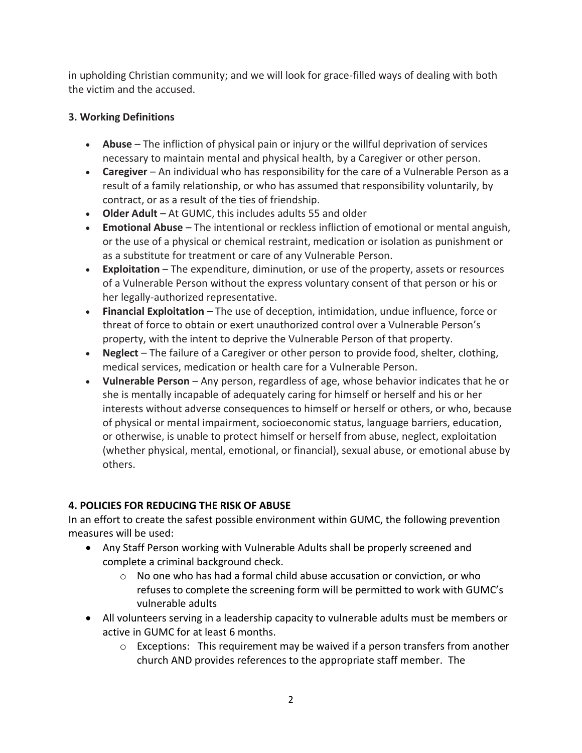in upholding Christian community; and we will look for grace-filled ways of dealing with both the victim and the accused.

# **3. Working Definitions**

- **Abuse** The infliction of physical pain or injury or the willful deprivation of services necessary to maintain mental and physical health, by a Caregiver or other person.
- **Caregiver** An individual who has responsibility for the care of a Vulnerable Person as a result of a family relationship, or who has assumed that responsibility voluntarily, by contract, or as a result of the ties of friendship.
- **Older Adult**  At GUMC, this includes adults 55 and older
- **Emotional Abuse** The intentional or reckless infliction of emotional or mental anguish, or the use of a physical or chemical restraint, medication or isolation as punishment or as a substitute for treatment or care of any Vulnerable Person.
- **Exploitation** The expenditure, diminution, or use of the property, assets or resources of a Vulnerable Person without the express voluntary consent of that person or his or her legally-authorized representative.
- **Financial Exploitation** The use of deception, intimidation, undue influence, force or threat of force to obtain or exert unauthorized control over a Vulnerable Person's property, with the intent to deprive the Vulnerable Person of that property.
- **Neglect** The failure of a Caregiver or other person to provide food, shelter, clothing, medical services, medication or health care for a Vulnerable Person.
- **Vulnerable Person** Any person, regardless of age, whose behavior indicates that he or she is mentally incapable of adequately caring for himself or herself and his or her interests without adverse consequences to himself or herself or others, or who, because of physical or mental impairment, socioeconomic status, language barriers, education, or otherwise, is unable to protect himself or herself from abuse, neglect, exploitation (whether physical, mental, emotional, or financial), sexual abuse, or emotional abuse by others.

# **4. POLICIES FOR REDUCING THE RISK OF ABUSE**

In an effort to create the safest possible environment within GUMC, the following prevention measures will be used:

- Any Staff Person working with Vulnerable Adults shall be properly screened and complete a criminal background check.
	- $\circ$  No one who has had a formal child abuse accusation or conviction, or who refuses to complete the screening form will be permitted to work with GUMC's vulnerable adults
- All volunteers serving in a leadership capacity to vulnerable adults must be members or active in GUMC for at least 6 months.
	- $\circ$  Exceptions: This requirement may be waived if a person transfers from another church AND provides references to the appropriate staff member. The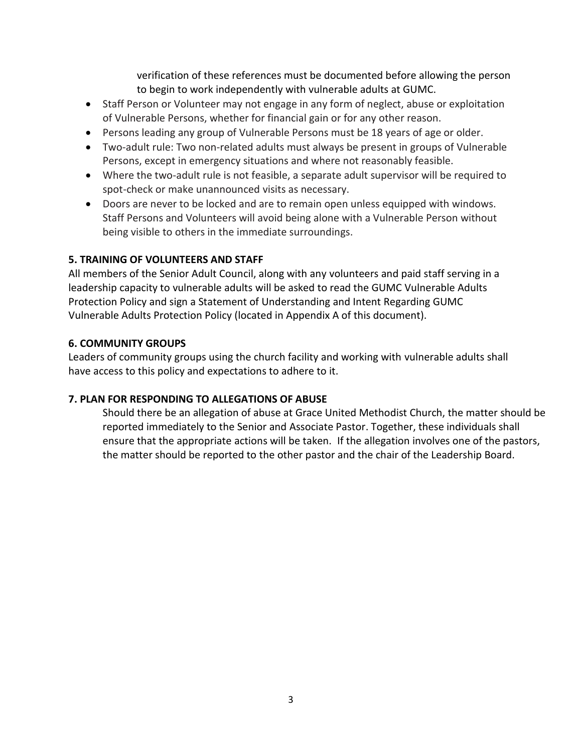verification of these references must be documented before allowing the person to begin to work independently with vulnerable adults at GUMC.

- Staff Person or Volunteer may not engage in any form of neglect, abuse or exploitation of Vulnerable Persons, whether for financial gain or for any other reason.
- Persons leading any group of Vulnerable Persons must be 18 years of age or older.
- Two-adult rule: Two non-related adults must always be present in groups of Vulnerable Persons, except in emergency situations and where not reasonably feasible.
- Where the two-adult rule is not feasible, a separate adult supervisor will be required to spot-check or make unannounced visits as necessary.
- Doors are never to be locked and are to remain open unless equipped with windows. Staff Persons and Volunteers will avoid being alone with a Vulnerable Person without being visible to others in the immediate surroundings.

#### **5. TRAINING OF VOLUNTEERS AND STAFF**

All members of the Senior Adult Council, along with any volunteers and paid staff serving in a leadership capacity to vulnerable adults will be asked to read the GUMC Vulnerable Adults Protection Policy and sign a Statement of Understanding and Intent Regarding GUMC Vulnerable Adults Protection Policy (located in Appendix A of this document).

#### **6. COMMUNITY GROUPS**

Leaders of community groups using the church facility and working with vulnerable adults shall have access to this policy and expectations to adhere to it.

## **7. PLAN FOR RESPONDING TO ALLEGATIONS OF ABUSE**

Should there be an allegation of abuse at Grace United Methodist Church, the matter should be reported immediately to the Senior and Associate Pastor. Together, these individuals shall ensure that the appropriate actions will be taken. If the allegation involves one of the pastors, the matter should be reported to the other pastor and the chair of the Leadership Board.